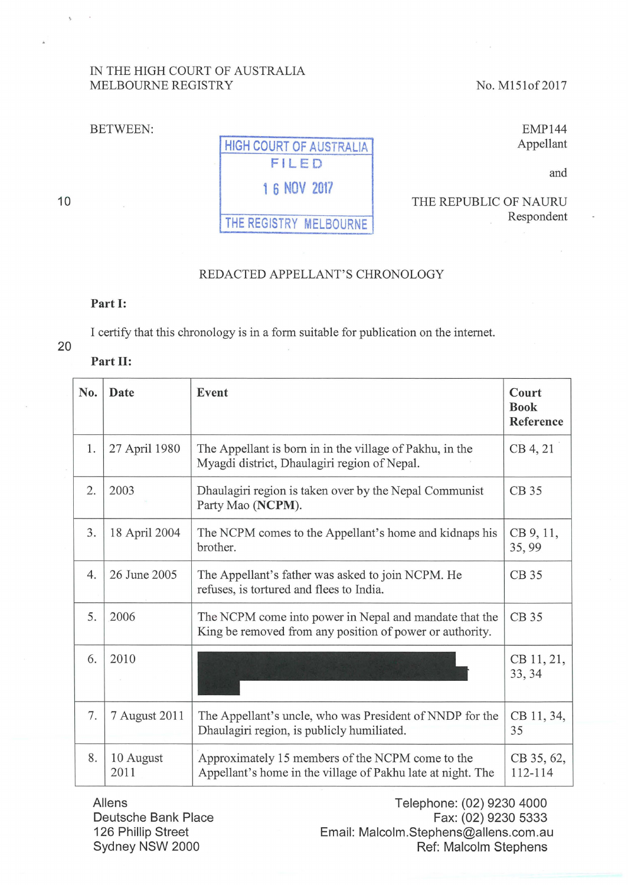## IN THE HIGH COURT OF AUSTRALIA MELBOURNE REGISTRY No. M151of 2017

THE REPUBLIC OF NAURU

BETWEEN:

# HIGH COURT OF AUSTRALIA FILED

**1 6 NOV 2017** 

THE REGISTRY MELBOURNE

EMP144 Appellant

Respondent

and

#### 10

### REDACTED APPELLANT'S CHRONOLOGY

#### Part **1:**

I certify that this chronology is in a form suitable for publication on the intemet.

# 20

### Part **11:**

| No. | Date              | Event                                                                                                              | Court<br><b>Book</b><br>Reference |
|-----|-------------------|--------------------------------------------------------------------------------------------------------------------|-----------------------------------|
| 1.  | 27 April 1980     | The Appellant is born in in the village of Pakhu, in the<br>Myagdi district, Dhaulagiri region of Nepal.           | CB 4, 21                          |
| 2.  | 2003              | Dhaulagiri region is taken over by the Nepal Communist<br>Party Mao (NCPM).                                        | CB 35                             |
| 3.  | 18 April 2004     | The NCPM comes to the Appellant's home and kidnaps his<br>brother.                                                 | CB 9, 11,<br>35,99                |
| 4.  | 26 June 2005      | The Appellant's father was asked to join NCPM. He<br>refuses, is tortured and flees to India.                      | CB 35                             |
| 5.  | 2006              | The NCPM come into power in Nepal and mandate that the<br>King be removed from any position of power or authority. | CB 35                             |
| 6.  | 2010              |                                                                                                                    | CB 11, 21,<br>33, 34              |
| 7.  | 7 August 2011     | The Appellant's uncle, who was President of NNDP for the<br>Dhaulagiri region, is publicly humiliated.             | CB 11, 34,<br>35                  |
| 8.  | 10 August<br>2011 | Approximately 15 members of the NCPM come to the<br>Appellant's home in the village of Pakhu late at night. The    | CB 35, 62,<br>112-114             |

**Allens** Deutsche Bank Place 126 Phillip Street Sydney NSW 2000

Telephone: (02) 9230 4000 Fax: (02) 9230 5333 Email: Malcolm.Stephens@allens.com.au Ref: Malcolm Stephens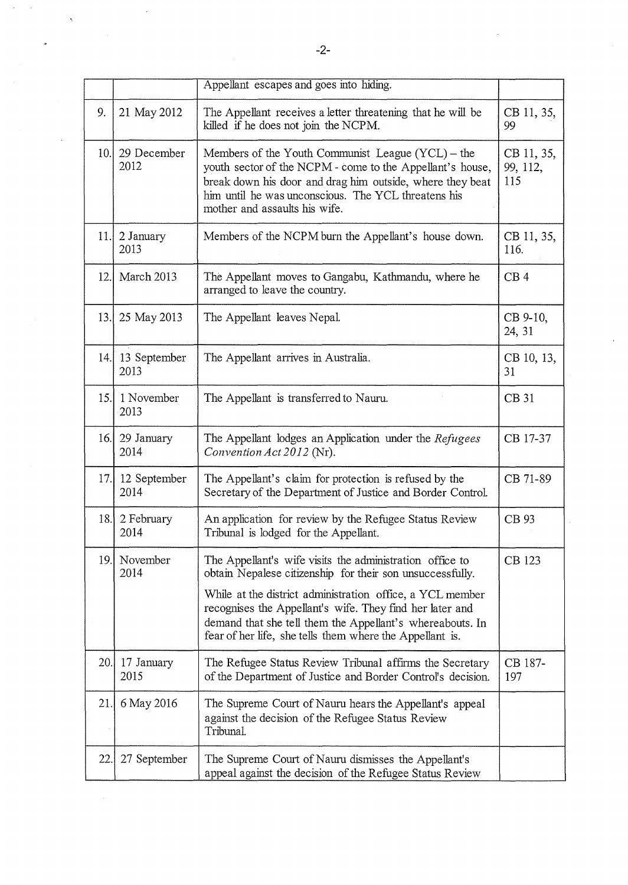|      |                          | Appellant escapes and goes into hiding.                                                                                                                                                                                                                                                                                                                                 |                               |
|------|--------------------------|-------------------------------------------------------------------------------------------------------------------------------------------------------------------------------------------------------------------------------------------------------------------------------------------------------------------------------------------------------------------------|-------------------------------|
| 9.   | 21 May 2012              | The Appellant receives a letter threatening that he will be<br>killed if he does not join the NCPM.                                                                                                                                                                                                                                                                     | CB 11, 35,<br>99              |
| 10.1 | 29 December<br>2012      | Members of the Youth Communist League $(YCL)$ – the<br>youth sector of the NCPM - come to the Appellant's house,<br>break down his door and drag him outside, where they beat<br>him until he was unconscious. The YCL threatens his<br>mother and assaults his wife.                                                                                                   | CB 11, 35,<br>99, 112,<br>115 |
| 11.1 | 2 January<br>2013        | Members of the NCPM burn the Appellant's house down.                                                                                                                                                                                                                                                                                                                    | CB 11, 35,<br>116.            |
| 12.  | March 2013               | The Appellant moves to Gangabu, Kathmandu, where he<br>arranged to leave the country.                                                                                                                                                                                                                                                                                   | CB <sub>4</sub>               |
| 13.1 | 25 May 2013              | The Appellant leaves Nepal.                                                                                                                                                                                                                                                                                                                                             | CB 9-10,<br>24, 31            |
|      | 14. 13 September<br>2013 | The Appellant arrives in Australia.                                                                                                                                                                                                                                                                                                                                     | CB 10, 13,<br>31              |
| 15.1 | 1 November<br>2013       | The Appellant is transferred to Nauru.                                                                                                                                                                                                                                                                                                                                  | CB 31                         |
| 16.  | 29 January<br>2014       | The Appellant lodges an Application under the Refugees<br>Convention Act 2012 (Nr).                                                                                                                                                                                                                                                                                     | CB 17-37                      |
|      | 17. 12 September<br>2014 | The Appellant's claim for protection is refused by the<br>Secretary of the Department of Justice and Border Control.                                                                                                                                                                                                                                                    | CB 71-89                      |
| 18.  | 2 February<br>2014       | An application for review by the Refugee Status Review<br>Tribunal is lodged for the Appellant.                                                                                                                                                                                                                                                                         | CB 93                         |
| 19.l | November<br>2014         | The Appellant's wife visits the administration office to<br>obtain Nepalese citizenship for their son unsuccessfully.<br>While at the district administration office, a YCL member<br>recognises the Appellant's wife. They find her later and<br>demand that she tell them the Appellant's whereabouts. In<br>fear of her life, she tells them where the Appellant is. | CB 123                        |
| 20.  | 17 January<br>2015       | The Refugee Status Review Tribunal affirms the Secretary<br>of the Department of Justice and Border Control's decision.                                                                                                                                                                                                                                                 | CB 187-<br>197                |
| 21.  | 6 May 2016               | The Supreme Court of Nauru hears the Appellant's appeal<br>against the decision of the Refugee Status Review<br>Tribunal.                                                                                                                                                                                                                                               |                               |
| 22.  | 27 September             | The Supreme Court of Nauru dismisses the Appellant's<br>appeal against the decision of the Refugee Status Review                                                                                                                                                                                                                                                        |                               |